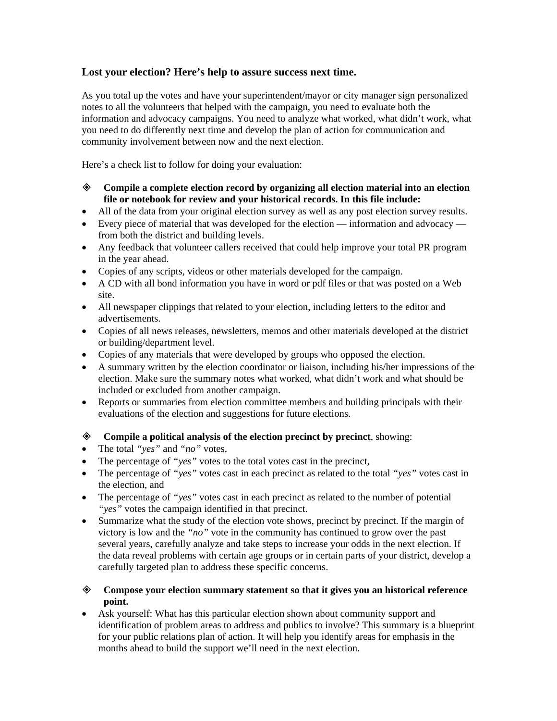## **Lost your election? Here's help to assure success next time.**

As you total up the votes and have your superintendent/mayor or city manager sign personalized notes to all the volunteers that helped with the campaign, you need to evaluate both the information and advocacy campaigns. You need to analyze what worked, what didn't work, what you need to do differently next time and develop the plan of action for communication and community involvement between now and the next election.

Here's a check list to follow for doing your evaluation:

- **Compile a complete election record by organizing all election material into an election file or notebook for review and your historical records. In this file include:**
- All of the data from your original election survey as well as any post election survey results.
- Every piece of material that was developed for the election information and advocacy from both the district and building levels.
- Any feedback that volunteer callers received that could help improve your total PR program in the year ahead.
- Copies of any scripts, videos or other materials developed for the campaign.
- A CD with all bond information you have in word or pdf files or that was posted on a Web site.
- All newspaper clippings that related to your election, including letters to the editor and advertisements.
- Copies of all news releases, newsletters, memos and other materials developed at the district or building/department level.
- Copies of any materials that were developed by groups who opposed the election.
- A summary written by the election coordinator or liaison, including his/her impressions of the election. Make sure the summary notes what worked, what didn't work and what should be included or excluded from another campaign.
- Reports or summaries from election committee members and building principals with their evaluations of the election and suggestions for future elections.

## **Compile a political analysis of the election precinct by precinct**, showing:

- The total *"yes"* and *"no"* votes,
- The percentage of *"yes"* votes to the total votes cast in the precinct,
- The percentage of *"yes"* votes cast in each precinct as related to the total *"yes"* votes cast in the election, and
- The percentage of *"yes"* votes cast in each precinct as related to the number of potential *"yes"* votes the campaign identified in that precinct.
- Summarize what the study of the election vote shows, precinct by precinct. If the margin of victory is low and the *"no"* vote in the community has continued to grow over the past several years, carefully analyze and take steps to increase your odds in the next election. If the data reveal problems with certain age groups or in certain parts of your district, develop a carefully targeted plan to address these specific concerns.
- **Compose your election summary statement so that it gives you an historical reference point.**
- Ask yourself: What has this particular election shown about community support and identification of problem areas to address and publics to involve? This summary is a blueprint for your public relations plan of action. It will help you identify areas for emphasis in the months ahead to build the support we'll need in the next election.